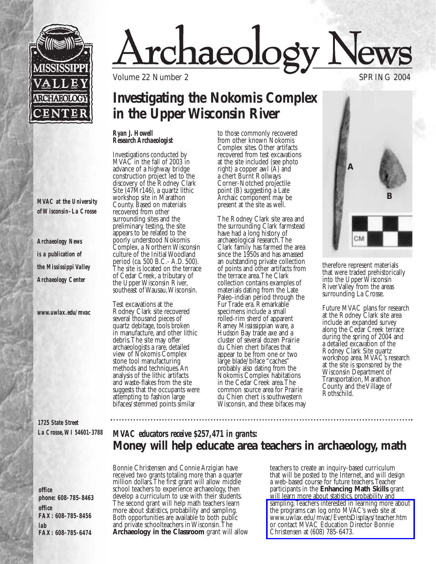

# <u>rchaeology</u>

Volume 22 Number 2 SPRING 2004

## **Investigating the Nokomis Complex in the Upper Wisconsin River**

#### *Ryan J. Howell Research Archaeologist*

Investigations conducted by MVAC in the fall of 2003 in advance of a highway bridge construction project led to the discovery of the Rodney Clark Site (47Mr146), a quartz lithic workshop site in Marathon County. Based on materials recovered from other surrounding sites and the preliminary testing, the site appears to be related to the poorly understood Nokomis Complex, a Northern Wisconsin culture of the Initial Woodland period (ca. 500 B.C.- A.D. 500). The site is located on the terrace of Cedar Creek, a tributary of the Upper Wisconsin River, southeast of Wausau, Wisconsin.

Test excavations at the Rodney Clark site recovered several thousand pieces of quartz debitage, tools broken in manufacture, and other lithic debris.The site may offer archaeologists a rare, detailed view of Nokomis Complex stone tool manufacturing methods and techniques.An analysis of the lithic artifacts and waste-flakes from the site suggests that the occupants were attempting to fashion large bifaces/stemmed points similar

to those commonly recovered from other known Nokomis Complex sites. Other artifacts recovered from test excavations at the site included (see photo right) a copper awl (A) and a chert Burnt Rollways Corner-Notched projectile point (B) suggesting a Late Archaic component may be present at the site as well.

The Rodney Clark site area and the surrounding Clark farmstead have had a long history of archaeological research.The Clark family has farmed the area since the 1950s and has amassed an outstanding private collection of points and other artifacts from the terrace area.The Clark collection contains examples of materials dating from the Late Paleo-indian period through the Fur Trade era. Remarkable specimens include a small rolled-rim sherd of apparent Ramey Mississippian ware, a Hudson Bay trade axe and a cluster of several dozen Prairie du Chien chert bifaces that appear to be from one or two large blade/biface "caches" probably also dating from the Nokomis Complex habitations in the Cedar Creek area.The common source area for Prairie du Chien chert is southwestern Wisconsin, and these bifaces may



therefore represent materials that were traded prehistorically into the Upper Wisconsin River Valley from the areas surrounding La Crosse.

Future MVAC plans for research at the Rodney Clark site area include an expanded survey along the Cedar Creek terrace during the spring of 2004 and a detailed excavation of the Rodney Clark Site quartz workshop area. MVAC's research at the site is sponsored by the Wisconsin Department of Transportation, Marathon County and the Village of Rothschild.

*1725 State Street La Crosse,WI 54601-3788* 

*office phone: 608-785-8463 office FAX: 608-785-8456 lab FAX: 608-785-6474* 

## *MVAC educators receive \$257,471 in grants:* **Money will help educate area teachers in archaeology, math**

Bonnie Christensen and Connie Arzigian have received two grants totaling more than a quarter million dollars.The first grant will allow middle school teachers to experience archaeology, then develop a curriculum to use with their students. The second grant will help math teachers learn more about statistics, probability and sampling. Both opportunities are available to both public and private schoolteachers in Wisconsin.The **Archaeology in the Classroom** grant will allow

teachers to create an inquiry-based curriculum that will be posted to the Internet, and will design a web-based course for future teachers.Teacher participants in the **Enhancing Math Skills** grant will learn more about statistics, probability and [sampling.Teachers interested in learning more about](http://www.uwlax.edu/mvac/EventsDisplays/teacher.htm) the programs can log onto MVAC's web site at www.uwlax.edu/mvac/EventsDisplays/teacher.htm or contact MVAC Education Director Bonnie Christensen at (608) 785-6473.

*MVAC at the University of Wisconsin-La Crosse* 

*Archaeology News is a publication of the Mississippi Valley Archaeology Center*

*www.uwlax.edu/mvac*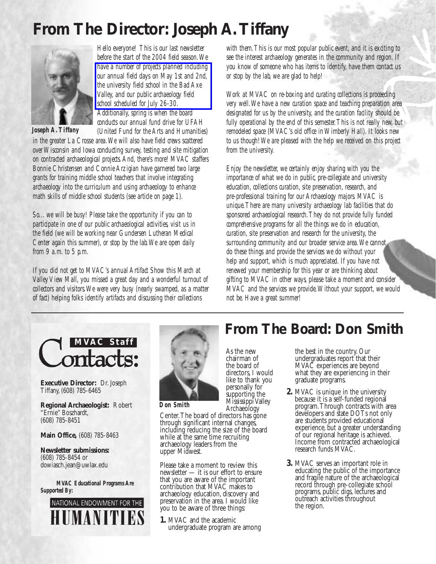# **From The Director: Joseph A.Tiffany**



*Joseph A.Tiffany*

*Hello everyone! This is our last newsletter before the start of the 2004 field season.We have a number of projects planned including [our annual field days on May 1st and 2nd,](http://www.uwlax.edu/mvac/EventsDisplays/schedule.htm) the university field school in the Bad Axe Valley, and our public archaeology field school scheduled for July 26-30. Additionally, spring is when the board conducts our annual fund drive for UFAH (United Fund for the Arts and Humanities) in the greater La Crosse area.We will also have field crews scattered*

*over Wisconsin and Iowa conducting survey, testing and site mitigation on contracted archaeological projects.And, there's more! MVAC staffers Bonnie Christensen and Connie Arzigian have garnered two large grants for training middle school teachers that involve integrating archaeology into the curriculum and using archaeology to enhance math skills of middle school students (see article on page 1).*

*So... we will be busy! Please take the opportunity if you can to*  participate in one of our public archaeological activities, visit us in *the field (we will be working near Gundersen Lutheran Medical Center again this summer), or stop by the lab.We are open daily from 9 a.m. to 5 p.m.*

*If you did not get to MVAC's annual Artifact Show this March at Valley View Mall, you missed a great day and a wonderful turnout of collectors and visitors.We were very busy (nearly swamped, as a matter of fact) helping folks identify artifacts and discussing their collections*

*with them.This is our most popular public event, and it is exciting to see the interest archaeology generates in the community and region. If you know of someone who has items to identify, have them contact us or stop by the lab, we are glad to help!*

*Work at MVAC on re-boxing and curating collections is proceeding very well.We have a new curation space and teaching preparation area designated for us by the university, and the curation facility should be fully operational by the end of this semester.This is not really new, but remodeled space (MVAC's old office in Wimberly Hall). It looks new to us though! We are pleased with the help we received on this project from the university.*

*Enjoy the newsletter, we certainly enjoy sharing with you the importance of what we do in public, pre-collegiate and university education, collections curation, site preservation, research, and pre-professional training for our Archaeology majors. MVAC is unique.There are many university archaeology lab facilities that do sponsored archaeological research.They do not provide fully funded comprehensive programs for all the things we do in education, curation, site preservation and research for the university, the surrounding community and our broader service area.We cannot do these things and provide the services we do without your help and support, which is much appreciated. If you have not renewed your membership for this year or are thinking about gifting to MVAC in other ways, please take a moment and consider MVAC and the services we provide.Without your support, we would not be. Have a great summer!* 

**From The Board: Don Smith**



**Executive Director:** Dr. Joseph Tiffany, (608) 785-6465

**Regional Archaeologist:** Robert "Ernie" Boszhardt, (608) 785-8451

**Main Office,** (608) 785-8463

**Newsletter submissions:** (608) 785-8454 or dowiasch.jean@uwlax.edu

*MVAC Educational Programs Are Supported By:*





As the new chairman of the board of directors, I would like to thank you personally for supporting the Mississippi Valley Archaeology

*Don Smith*

Center.The board of directors has gone through significant internal changes, including reducing the size of the board while at the same time recruiting archaeology leaders from the upper Midwest.

Please take a moment to review this newsletter — it is our effort to ensure that you are aware of the important contribution that MVAC makes to archaeology education, discovery and preservation in the area. I would like you to be aware of three things:

**1.** MVAC and the academic undergraduate program are among

#### the best in the country. Our undergraduates report that their MVAC experiences are beyond what they are experiencing in their graduate programs.

- **2.** MVAC is unique in the university because it is a self-funded regional program.Through contracts with area developers and state DOTs not only are students provided educational experience, but a greater understanding of our regional heritage is achieved. Income from contracted archaeological research funds MVAC.
- **3.** MVAC serves an important role in educating the public of the importance and fragile nature of the archaeological record through pre-collegiate school programs, public digs, lectures and outreach activities throughout the region.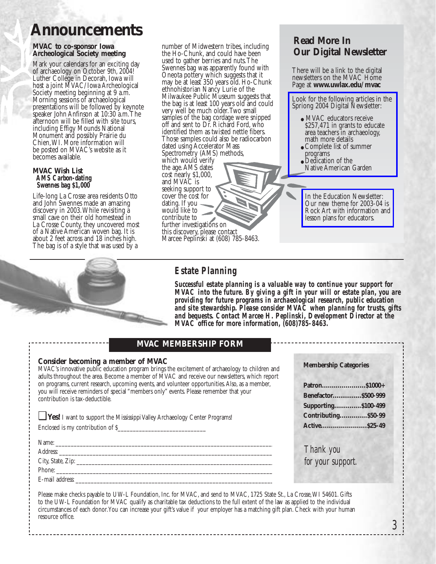## **Announcements**

#### **MVAC to co-sponsor Iowa Archeological Society meeting**

Mark your calendars for an exciting day of archaeology on October 9th, 2004! Luther College in Decorah, Iowa will host a joint MVAC/Iowa Archeological Society meeting beginning at 9 a.m. Morning sessions of archaeological presentations will be followed by keynote speaker John Anfinson at 10:30 a.m.The afternoon will be filled with site tours, including Effigy Mounds National Monument and possibly Prairie du Chien,WI. More information will be posted on MVAC's website as it becomes available.

#### **MVAC Wish List** *AMS Carbon-dating Swennes bag \$1,000*

Life-long La Crosse area residents Otto and John Swennes made an amazing discovery in 2003.While revisiting a small cave on their old homestead in La Crosse County, they uncovered most of a Native American woven bag. It is about 2 feet across and 18 inches high. The bag is of a style that was used by a



E-mail address:

number of Midwestern tribes, including the Ho-Chunk, and could have been used to gather berries and nuts.The Swennes bag was apparently found with Oneota pottery which suggests that it may be at least 350 years old. Ho-Chunk ethnohistorian Nancy Lurie of the Milwaukee Public Museum suggests that the bag is at least 100 years old and could very well be much older.Two small samples of the bag cordage were snipped off and sent to Dr. Richard Ford, who identified them as twisted nettle fibers. Those samples could also be radiocarbon dated using Accelerator Mass Spectrometry (AMS) methods, which would verify the age.AMS dates cost nearly \$1,000, and MVAC is seeking support to cover the cost for dating. If you would like to contribute to further investigations on this discovery, please contact Marcee Peplinski at (608) 785-8463.

### *Estate Planning*

*Successful estate planning is a valuable way to continue your support for MVAC into the future. By giving a gift in your will or estate plan, you are providing for future programs in archaeological research, public education and site stewardship. Please consider MVAC when planning for trusts, gifts and bequests. Contact Marcee H. Peplinski, Development Director at the MVAC office for more information, (608)785-8463.*

#### **MVAC MEMBERSHIP FORM**

| Consider becoming a member of MVAC<br>MVAC's innovative public education program brings the excitement of archaeology to children and<br>adults throughout the area. Become a member of MVAC and receive our newsletters, which report | <b>Membership Categories</b> |
|----------------------------------------------------------------------------------------------------------------------------------------------------------------------------------------------------------------------------------------|------------------------------|
| on programs, current research, upcoming events, and volunteer opportunities. Also, as a member,                                                                                                                                        |                              |
| you will receive reminders of special "members only" events. Please remember that your<br>contribution is tax-deductible.                                                                                                              | Benefactor \$500-999         |
|                                                                                                                                                                                                                                        | Supporting \$100-499         |
| <b>Les!</b> I want to support the Mississippi Valley Archaeology Center Programs!                                                                                                                                                      | Contributing \$50-99         |
| Enclosed is my contribution of \$                                                                                                                                                                                                      |                              |
|                                                                                                                                                                                                                                        |                              |
|                                                                                                                                                                                                                                        | Thank you                    |
|                                                                                                                                                                                                                                        | for your support.            |
| Phone:                                                                                                                                                                                                                                 |                              |

Please make checks payable to UW-L Foundation, Inc. for MVAC, and send to MVAC, 1725 State St., La Crosse,WI 54601. Gifts to the UW-L Foundation for MVAC qualify as charitable tax deductions to the full extent of the law as applied to the individual circumstances of each donor.You can increase your gift's value if your employer has a matching gift plan. Check with your human resource office.

### **Read More In Our Digital Newsletter**

There will be a link to the digital newsletters on the MVAC Home Page at **www.uwlax.edu/mvac**

[Look for the following articles in the](http://www.uwlax.edu/mvac/PDFFiles/Spring2004E.pdf) Spriong 2004 Digital Newsletter:

- MVAC educators receive \$257,471 in grants to educate area teachers in archaeology, math more details
- Complete list of summer programs
- Dedication of the Native American Garden

In the Education Newsletter: Our new theme for 2003-04 is [Rock Art with information and](http://www.uwlax.edu/mvac/PDFFiles/EdNewsSpring2004.pdf)  lesson plans for educators.